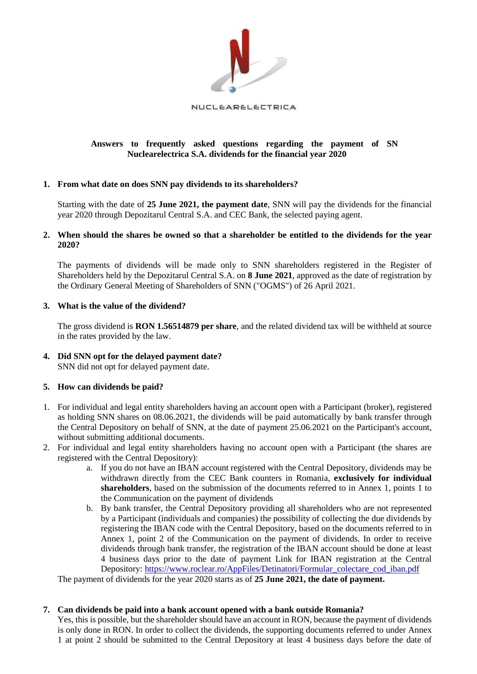

# **Answers to frequently asked questions regarding the payment of SN Nuclearelectrica S.A. dividends for the financial year 2020**

# **1. From what date on does SNN pay dividends to its shareholders?**

Starting with the date of **25 June 2021, the payment date**, SNN will pay the dividends for the financial year 2020 through Depozitarul Central S.A. and CEC Bank, the selected paying agent.

#### **2. When should the shares be owned so that a shareholder be entitled to the dividends for the year 2020?**

The payments of dividends will be made only to SNN shareholders registered in the Register of Shareholders held by the Depozitarul Central S.A. on **8 June 2021**, approved as the date of registration by the Ordinary General Meeting of Shareholders of SNN ("OGMS") of 26 April 2021.

# **3. What is the value of the dividend?**

The gross dividend is **RON 1.56514879 per share**, and the related dividend tax will be withheld at source in the rates provided by the law.

# **4. Did SNN opt for the delayed payment date?**  SNN did not opt for delayed payment date.

# **5. How can dividends be paid?**

- 1. For individual and legal entity shareholders having an account open with a Participant (broker), registered as holding SNN shares on 08.06.2021, the dividends will be paid automatically by bank transfer through the Central Depository on behalf of SNN, at the date of payment 25.06.2021 on the Participant's account, without submitting additional documents.
- 2. For individual and legal entity shareholders having no account open with a Participant (the shares are registered with the Central Depository):
	- a. If you do not have an IBAN account registered with the Central Depository, dividends may be withdrawn directly from the CEC Bank counters in Romania, **exclusively for individual shareholders**, based on the submission of the documents referred to in Annex 1, points 1 to the Communication on the payment of dividends
	- b. By bank transfer, the Central Depository providing all shareholders who are not represented by a Participant (individuals and companies) the possibility of collecting the due dividends by registering the IBAN code with the Central Depository, based on the documents referred to in Annex 1, point 2 of the Communication on the payment of dividends. In order to receive dividends through bank transfer, the registration of the IBAN account should be done at least 4 business days prior to the date of payment Link for IBAN registration at the Central Depository: [https://www.roclear.ro/AppFiles/Detinatori/Formular\\_colectare\\_cod\\_iban.pdf](https://www.roclear.ro/AppFiles/Detinatori/Formular_colectare_cod_iban.pdf)

The payment of dividends for the year 2020 starts as of **25 June 2021, the date of payment.** 

# **7. Can dividends be paid into a bank account opened with a bank outside Romania?**

Yes, this is possible, but the shareholder should have an account in RON, because the payment of dividends is only done in RON. In order to collect the dividends, the supporting documents referred to under Annex 1 at point 2 should be submitted to the Central Depository at least 4 business days before the date of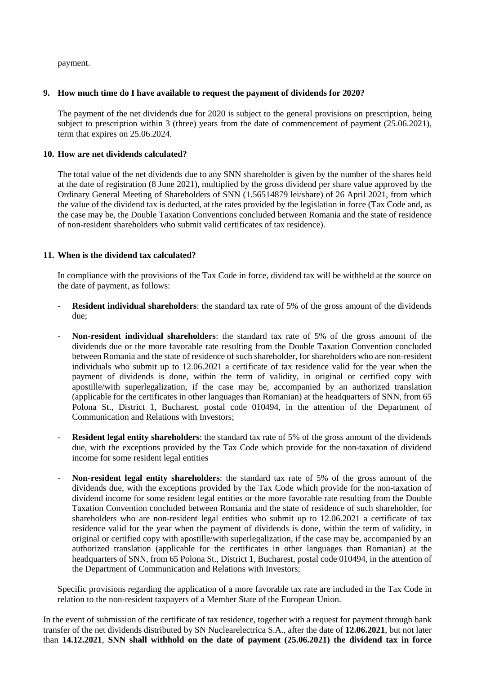payment.

#### **9. How much time do I have available to request the payment of dividends for 2020?**

The payment of the net dividends due for 2020 is subject to the general provisions on prescription, being subject to prescription within 3 (three) years from the date of commencement of payment (25.06.2021), term that expires on 25.06.2024.

# **10. How are net dividends calculated?**

The total value of the net dividends due to any SNN shareholder is given by the number of the shares held at the date of registration (8 June 2021), multiplied by the gross dividend per share value approved by the Ordinary General Meeting of Shareholders of SNN (1.56514879 lei/share) of 26 April 2021, from which the value of the dividend tax is deducted, at the rates provided by the legislation in force (Tax Code and, as the case may be, the Double Taxation Conventions concluded between Romania and the state of residence of non-resident shareholders who submit valid certificates of tax residence).

# **11. When is the dividend tax calculated?**

In compliance with the provisions of the Tax Code in force, dividend tax will be withheld at the source on the date of payment, as follows:

- **Resident individual shareholders**: the standard tax rate of 5% of the gross amount of the dividends due;
- **Non-resident individual shareholders**: the standard tax rate of 5% of the gross amount of the dividends due or the more favorable rate resulting from the Double Taxation Convention concluded between Romania and the state of residence of such shareholder, for shareholders who are non-resident individuals who submit up to 12.06.2021 a certificate of tax residence valid for the year when the payment of dividends is done, within the term of validity, in original or certified copy with apostille/with superlegalization, if the case may be, accompanied by an authorized translation (applicable for the certificates in other languages than Romanian) at the headquarters of SNN, from 65 Polona St., District 1, Bucharest, postal code 010494, in the attention of the Department of Communication and Relations with Investors;
- **Resident legal entity shareholders**: the standard tax rate of 5% of the gross amount of the dividends due, with the exceptions provided by the Tax Code which provide for the non-taxation of dividend income for some resident legal entities
- **Non-resident legal entity shareholders**: the standard tax rate of 5% of the gross amount of the dividends due, with the exceptions provided by the Tax Code which provide for the non-taxation of dividend income for some resident legal entities or the more favorable rate resulting from the Double Taxation Convention concluded between Romania and the state of residence of such shareholder, for shareholders who are non-resident legal entities who submit up to 12.06.2021 a certificate of tax residence valid for the year when the payment of dividends is done, within the term of validity, in original or certified copy with apostille/with superlegalization, if the case may be, accompanied by an authorized translation (applicable for the certificates in other languages than Romanian) at the headquarters of SNN, from 65 Polona St., District 1, Bucharest, postal code 010494, in the attention of the Department of Communication and Relations with Investors;

Specific provisions regarding the application of a more favorable tax rate are included in the Tax Code in relation to the non-resident taxpayers of a Member State of the European Union.

In the event of submission of the certificate of tax residence, together with a request for payment through bank transfer of the net dividends distributed by SN Nuclearelectrica S.A., after the date of **12.06.2021**, but not later than **14.12.2021**, **SNN shall withhold on the date of payment (25.06.2021) the dividend tax in force**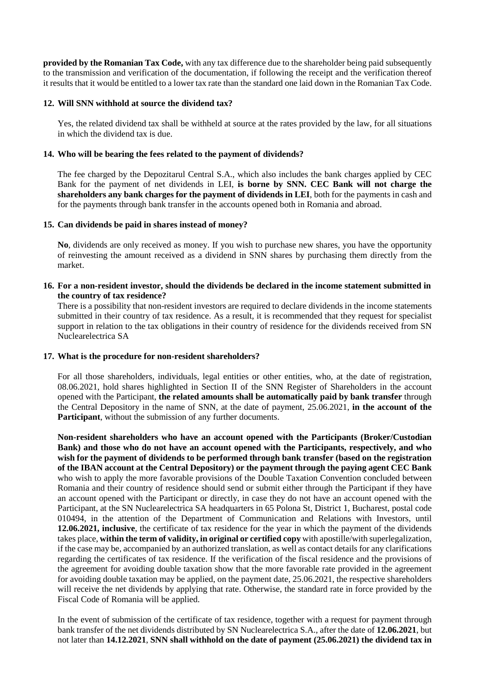**provided by the Romanian Tax Code,** with any tax difference due to the shareholder being paid subsequently to the transmission and verification of the documentation, if following the receipt and the verification thereof it results that it would be entitled to a lower tax rate than the standard one laid down in the Romanian Tax Code.

#### **12. Will SNN withhold at source the dividend tax?**

Yes, the related dividend tax shall be withheld at source at the rates provided by the law, for all situations in which the dividend tax is due.

# **14. Who will be bearing the fees related to the payment of dividends?**

The fee charged by the Depozitarul Central S.A., which also includes the bank charges applied by CEC Bank for the payment of net dividends in LEI, **is borne by SNN. CEC Bank will not charge the shareholders any bank charges for the payment of dividends in LEI**, both for the payments in cash and for the payments through bank transfer in the accounts opened both in Romania and abroad.

# **15. Can dividends be paid in shares instead of money?**

**No**, dividends are only received as money. If you wish to purchase new shares, you have the opportunity of reinvesting the amount received as a dividend in SNN shares by purchasing them directly from the market.

#### **16. For a non-resident investor, should the dividends be declared in the income statement submitted in the country of tax residence?**

There is a possibility that non-resident investors are required to declare dividends in the income statements submitted in their country of tax residence. As a result, it is recommended that they request for specialist support in relation to the tax obligations in their country of residence for the dividends received from SN Nuclearelectrica SA

#### **17. What is the procedure for non-resident shareholders?**

For all those shareholders, individuals, legal entities or other entities, who, at the date of registration, 08.06.2021, hold shares highlighted in Section II of the SNN Register of Shareholders in the account opened with the Participant, **the related amounts shall be automatically paid by bank transfer** through the Central Depository in the name of SNN, at the date of payment, 25.06.2021, **in the account of the Participant**, without the submission of any further documents.

**Non-resident shareholders who have an account opened with the Participants (Broker/Custodian Bank) and those who do not have an account opened with the Participants, respectively, and who wish for the payment of dividends to be performed through bank transfer (based on the registration of the IBAN account at the Central Depository) or the payment through the paying agent CEC Bank**  who wish to apply the more favorable provisions of the Double Taxation Convention concluded between Romania and their country of residence should send or submit either through the Participant if they have an account opened with the Participant or directly, in case they do not have an account opened with the Participant, at the SN Nuclearelectrica SA headquarters in 65 Polona St, District 1, Bucharest, postal code 010494, in the attention of the Department of Communication and Relations with Investors, until **12.06.2021, inclusive**, the certificate of tax residence for the year in which the payment of the dividends takes place, **within the term of validity, in original or certified copy** with apostille/with superlegalization, if the case may be, accompanied by an authorized translation, as well as contact details for any clarifications regarding the certificates of tax residence. If the verification of the fiscal residence and the provisions of the agreement for avoiding double taxation show that the more favorable rate provided in the agreement for avoiding double taxation may be applied, on the payment date, 25.06.2021, the respective shareholders will receive the net dividends by applying that rate. Otherwise, the standard rate in force provided by the Fiscal Code of Romania will be applied.

In the event of submission of the certificate of tax residence, together with a request for payment through bank transfer of the net dividends distributed by SN Nuclearelectrica S.A., after the date of **12.06.2021**, but not later than **14.12.2021**, **SNN shall withhold on the date of payment (25.06.2021) the dividend tax in**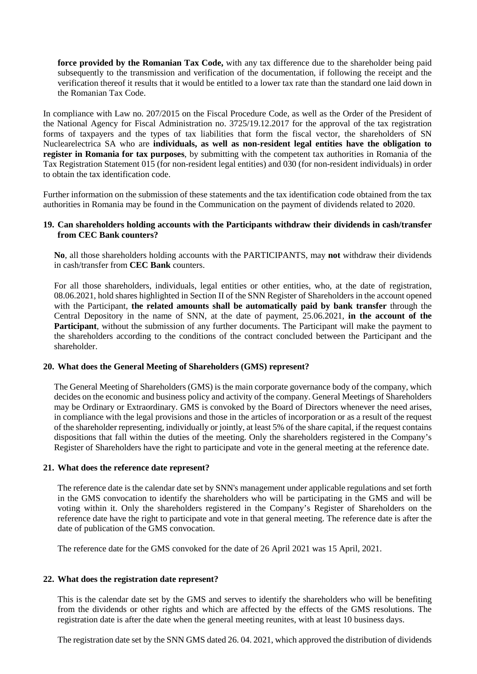**force provided by the Romanian Tax Code,** with any tax difference due to the shareholder being paid subsequently to the transmission and verification of the documentation, if following the receipt and the verification thereof it results that it would be entitled to a lower tax rate than the standard one laid down in the Romanian Tax Code.

In compliance with Law no. 207/2015 on the Fiscal Procedure Code, as well as the Order of the President of the National Agency for Fiscal Administration no. 3725/19.12.2017 for the approval of the tax registration forms of taxpayers and the types of tax liabilities that form the fiscal vector, the shareholders of SN Nuclearelectrica SA who are **individuals, as well as non-resident legal entities have the obligation to register in Romania for tax purposes**, by submitting with the competent tax authorities in Romania of the Tax Registration Statement 015 (for non-resident legal entities) and 030 (for non-resident individuals) in order to obtain the tax identification code.

Further information on the submission of these statements and the tax identification code obtained from the tax authorities in Romania may be found in the Communication on the payment of dividends related to 2020.

#### **19. Can shareholders holding accounts with the Participants withdraw their dividends in cash/transfer from CEC Bank counters?**

**No**, all those shareholders holding accounts with the PARTICIPANTS, may **not** withdraw their dividends in cash/transfer from **CEC Bank** counters.

For all those shareholders, individuals, legal entities or other entities, who, at the date of registration, 08.06.2021, hold shares highlighted in Section II of the SNN Register of Shareholders in the account opened with the Participant, **the related amounts shall be automatically paid by bank transfer** through the Central Depository in the name of SNN, at the date of payment, 25.06.2021, **in the account of the Participant**, without the submission of any further documents. The Participant will make the payment to the shareholders according to the conditions of the contract concluded between the Participant and the shareholder.

#### **20. What does the General Meeting of Shareholders (GMS) represent?**

The General Meeting of Shareholders (GMS) is the main corporate governance body of the company, which decides on the economic and business policy and activity of the company. General Meetings of Shareholders may be Ordinary or Extraordinary. GMS is convoked by the Board of Directors whenever the need arises, in compliance with the legal provisions and those in the articles of incorporation or as a result of the request of the shareholder representing, individually or jointly, at least 5% of the share capital, if the request contains dispositions that fall within the duties of the meeting. Only the shareholders registered in the Company's Register of Shareholders have the right to participate and vote in the general meeting at the reference date.

#### **21. What does the reference date represent?**

The reference date is the calendar date set by SNN's management under applicable regulations and set forth in the GMS convocation to identify the shareholders who will be participating in the GMS and will be voting within it. Only the shareholders registered in the Company's Register of Shareholders on the reference date have the right to participate and vote in that general meeting. The reference date is after the date of publication of the GMS convocation.

The reference date for the GMS convoked for the date of 26 April 2021 was 15 April, 2021.

#### **22. What does the registration date represent?**

This is the calendar date set by the GMS and serves to identify the shareholders who will be benefiting from the dividends or other rights and which are affected by the effects of the GMS resolutions. The registration date is after the date when the general meeting reunites, with at least 10 business days.

The registration date set by the SNN GMS dated 26. 04. 2021, which approved the distribution of dividends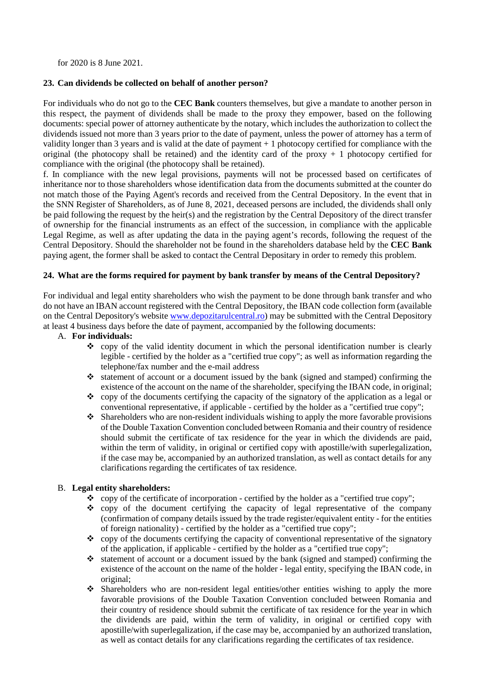for 2020 is 8 June 2021.

# **23. Can dividends be collected on behalf of another person?**

For individuals who do not go to the **CEC Bank** counters themselves, but give a mandate to another person in this respect, the payment of dividends shall be made to the proxy they empower, based on the following documents: special power of attorney authenticate by the notary, which includes the authorization to collect the dividends issued not more than 3 years prior to the date of payment, unless the power of attorney has a term of validity longer than 3 years and is valid at the date of payment + 1 photocopy certified for compliance with the original (the photocopy shall be retained) and the identity card of the proxy  $+1$  photocopy certified for compliance with the original (the photocopy shall be retained).

f. In compliance with the new legal provisions, payments will not be processed based on certificates of inheritance nor to those shareholders whose identification data from the documents submitted at the counter do not match those of the Paying Agent's records and received from the Central Depository. In the event that in the SNN Register of Shareholders, as of June 8, 2021, deceased persons are included, the dividends shall only be paid following the request by the heir(s) and the registration by the Central Depository of the direct transfer of ownership for the financial instruments as an effect of the succession, in compliance with the applicable Legal Regime, as well as after updating the data in the paying agent's records, following the request of the Central Depository. Should the shareholder not be found in the shareholders database held by the **CEC Bank** paying agent, the former shall be asked to contact the Central Depositary in order to remedy this problem.

# **24. What are the forms required for payment by bank transfer by means of the Central Depository?**

For individual and legal entity shareholders who wish the payment to be done through bank transfer and who do not have an IBAN account registered with the Central Depository, the IBAN code collection form (available on the Central Depository's website [www.depozitarulcentral.ro\)](http://www.depozitarulcentral.ro/) may be submitted with the Central Depository at least 4 business days before the date of payment, accompanied by the following documents:

- A. **For individuals:**
	- $\bullet$  copy of the valid identity document in which the personal identification number is clearly legible - certified by the holder as a "certified true copy"; as well as information regarding the telephone/fax number and the e-mail address
	- $\triangleleft$  statement of account or a document issued by the bank (signed and stamped) confirming the existence of the account on the name of the shareholder, specifying the IBAN code, in original;
	- $\bullet$  copy of the documents certifying the capacity of the signatory of the application as a legal or conventional representative, if applicable - certified by the holder as a "certified true copy";
	- $\bullet$  Shareholders who are non-resident individuals wishing to apply the more favorable provisions of the Double Taxation Convention concluded between Romania and their country of residence should submit the certificate of tax residence for the year in which the dividends are paid, within the term of validity, in original or certified copy with apostille/with superlegalization, if the case may be, accompanied by an authorized translation, as well as contact details for any clarifications regarding the certificates of tax residence.

#### B. **Legal entity shareholders:**

- $\bullet$  copy of the certificate of incorporation certified by the holder as a "certified true copy";
- copy of the document certifying the capacity of legal representative of the company (confirmation of company details issued by the trade register/equivalent entity - for the entities of foreign nationality) - certified by the holder as a "certified true copy";
- $\bullet$  copy of the documents certifying the capacity of conventional representative of the signatory of the application, if applicable - certified by the holder as a "certified true copy";
- $\cdot$  statement of account or a document issued by the bank (signed and stamped) confirming the existence of the account on the name of the holder - legal entity, specifying the IBAN code, in original;
- $\div$  Shareholders who are non-resident legal entities/other entities wishing to apply the more favorable provisions of the Double Taxation Convention concluded between Romania and their country of residence should submit the certificate of tax residence for the year in which the dividends are paid, within the term of validity, in original or certified copy with apostille/with superlegalization, if the case may be, accompanied by an authorized translation, as well as contact details for any clarifications regarding the certificates of tax residence.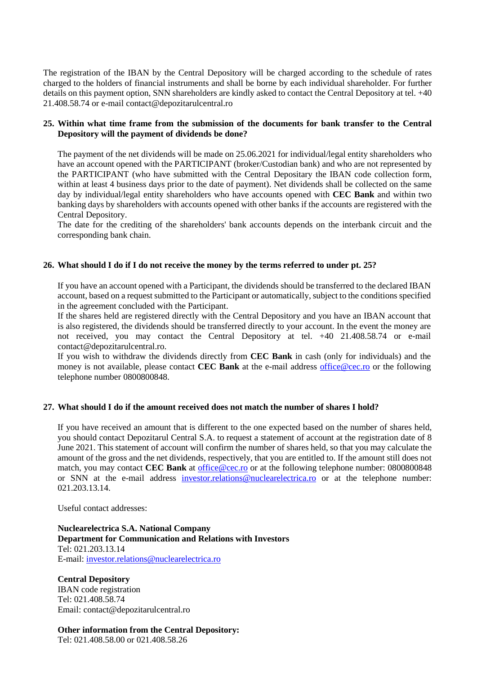The registration of the IBAN by the Central Depository will be charged according to the schedule of rates charged to the holders of financial instruments and shall be borne by each individual shareholder. For further details on this payment option, SNN shareholders are kindly asked to contact the Central Depository at tel. +40 21.408.58.74 or e-mail contact@depozitarulcentral.ro

#### **25. Within what time frame from the submission of the documents for bank transfer to the Central Depository will the payment of dividends be done?**

The payment of the net dividends will be made on 25.06.2021 for individual/legal entity shareholders who have an account opened with the PARTICIPANT (broker/Custodian bank) and who are not represented by the PARTICIPANT (who have submitted with the Central Depositary the IBAN code collection form, within at least 4 business days prior to the date of payment). Net dividends shall be collected on the same day by individual/legal entity shareholders who have accounts opened with **CEC Bank** and within two banking days by shareholders with accounts opened with other banks if the accounts are registered with the Central Depository.

The date for the crediting of the shareholders' bank accounts depends on the interbank circuit and the corresponding bank chain.

#### **26. What should I do if I do not receive the money by the terms referred to under pt. 25?**

If you have an account opened with a Participant, the dividends should be transferred to the declared IBAN account, based on a request submitted to the Participant or automatically, subject to the conditions specified in the agreement concluded with the Participant.

If the shares held are registered directly with the Central Depository and you have an IBAN account that is also registered, the dividends should be transferred directly to your account. In the event the money are not received, you may contact the Central Depository at tel. +40 21.408.58.74 or e-mail contact@depozitarulcentral.ro.

If you wish to withdraw the dividends directly from **CEC Bank** in cash (only for individuals) and the money is not available, please contact **CEC Bank** at the e-mail address [office@cec.ro](mailto:office@cec.ro) or the following telephone number 0800800848.

#### **27. What should I do if the amount received does not match the number of shares I hold?**

If you have received an amount that is different to the one expected based on the number of shares held, you should contact Depozitarul Central S.A. to request a statement of account at the registration date of 8 June 2021. This statement of account will confirm the number of shares held, so that you may calculate the amount of the gross and the net dividends, respectively, that you are entitled to. If the amount still does not match, you may contact **CEC Bank** at **office@cec.ro** or at the following telephone number: 0800800848 or SNN at the e-mail address [investor.relations@nuclearelectrica.ro](mailto:office@cec.ro) or at the telephone number: 021.203.13.14.

Useful contact addresses:

**Nuclearelectrica S.A. National Company Department for Communication and Relations with Investors** Tel: 021.203.13.14 E-mail[: investor.relations@nuclearelectrica.ro](mailto:investor.relations@nuclearelectrica.ro)

**Central Depository** IBAN code registration Tel: 021.408.58.74 Email: contact@depozitarulcentral.ro

**Other information from the Central Depository:** Tel: 021.408.58.00 or 021.408.58.26